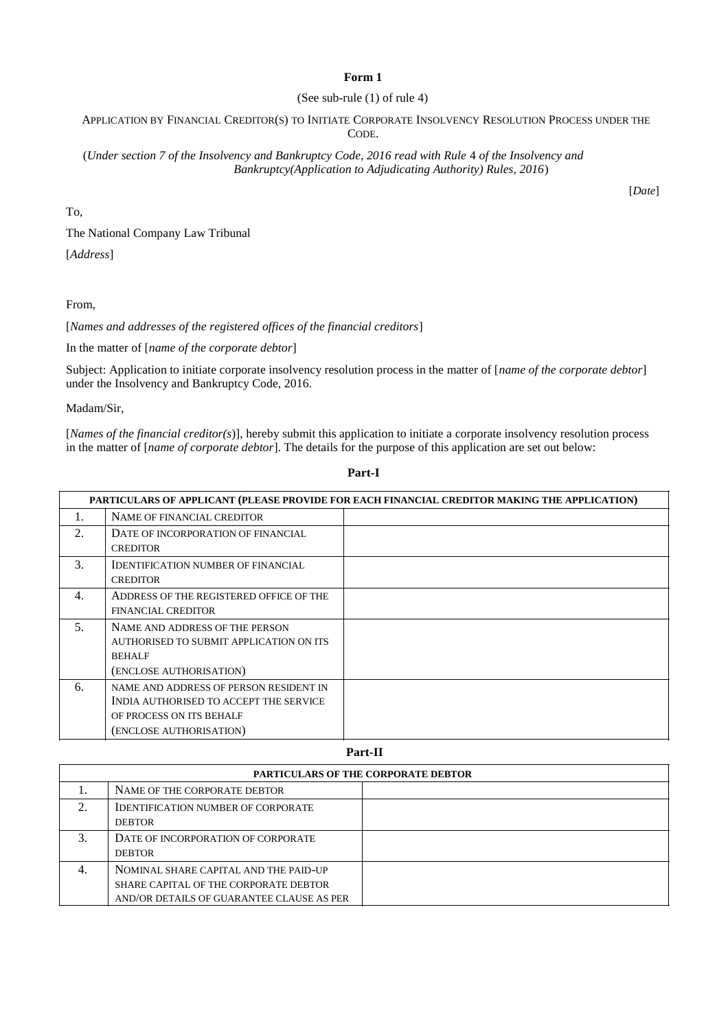### **Form 1**

### (See sub-rule (1) of rule 4)

### APPLICATION BY FINANCIAL CREDITOR(S) TO INITIATE CORPORATE INSOLVENCY RESOLUTION PROCESS UNDER THE CODE.

(*Under section 7 of the Insolvency and Bankruptcy Code, 2016 read with Rule* 4 *of the Insolvency and Bankruptcy(Application to Adjudicating Authority) Rules, 2016*)

To,

[*Date*]

The National Company Law Tribunal

[*Address*]

From,

[*Names and addresses of the registered offices of the financial creditors*]

In the matter of [*name of the corporate debtor*]

Subject: Application to initiate corporate insolvency resolution process in the matter of [*name of the corporate debtor*] under the Insolvency and Bankruptcy Code, 2016.

Madam/Sir,

[*Names of the financial creditor(s*)], hereby submit this application to initiate a corporate insolvency resolution process in the matter of [*name of corporate debtor*]. The details for the purpose of this application are set out below:

|     | PARTICULARS OF APPLICANT (PLEASE PROVIDE FOR EACH FINANCIAL CREDITOR MAKING THE APPLICATION) |  |
|-----|----------------------------------------------------------------------------------------------|--|
| 1.  | NAME OF FINANCIAL CREDITOR                                                                   |  |
| 2.  | DATE OF INCORPORATION OF FINANCIAL                                                           |  |
|     | <b>CREDITOR</b>                                                                              |  |
| 3.  | <b>IDENTIFICATION NUMBER OF FINANCIAL</b>                                                    |  |
|     | <b>CREDITOR</b>                                                                              |  |
| 4.  | ADDRESS OF THE REGISTERED OFFICE OF THE                                                      |  |
|     | <b>FINANCIAL CREDITOR</b>                                                                    |  |
| .5. | NAME AND ADDRESS OF THE PERSON                                                               |  |
|     | AUTHORISED TO SUBMIT APPLICATION ON ITS                                                      |  |
|     | <b>BEHALF</b>                                                                                |  |
|     | (ENCLOSE AUTHORISATION)                                                                      |  |
| 6.  | NAME AND ADDRESS OF PERSON RESIDENT IN                                                       |  |
|     | INDIA AUTHORISED TO ACCEPT THE SERVICE                                                       |  |
|     | OF PROCESS ON ITS BEHALF                                                                     |  |
|     | (ENCLOSE AUTHORISATION)                                                                      |  |

### **Part-I**

**Part-II**

| <b>PARTICULARS OF THE CORPORATE DEBTOR</b> |                                                            |  |
|--------------------------------------------|------------------------------------------------------------|--|
|                                            | NAME OF THE CORPORATE DEBTOR                               |  |
| $\gamma$                                   | <b>IDENTIFICATION NUMBER OF CORPORATE</b><br><b>DEBTOR</b> |  |
|                                            | DATE OF INCORPORATION OF CORPORATE<br><b>DEBTOR</b>        |  |
| 4.                                         | NOMINAL SHARE CAPITAL AND THE PAID-UP                      |  |
|                                            | SHARE CAPITAL OF THE CORPORATE DEBTOR                      |  |
|                                            | AND/OR DETAILS OF GUARANTEE CLAUSE AS PER                  |  |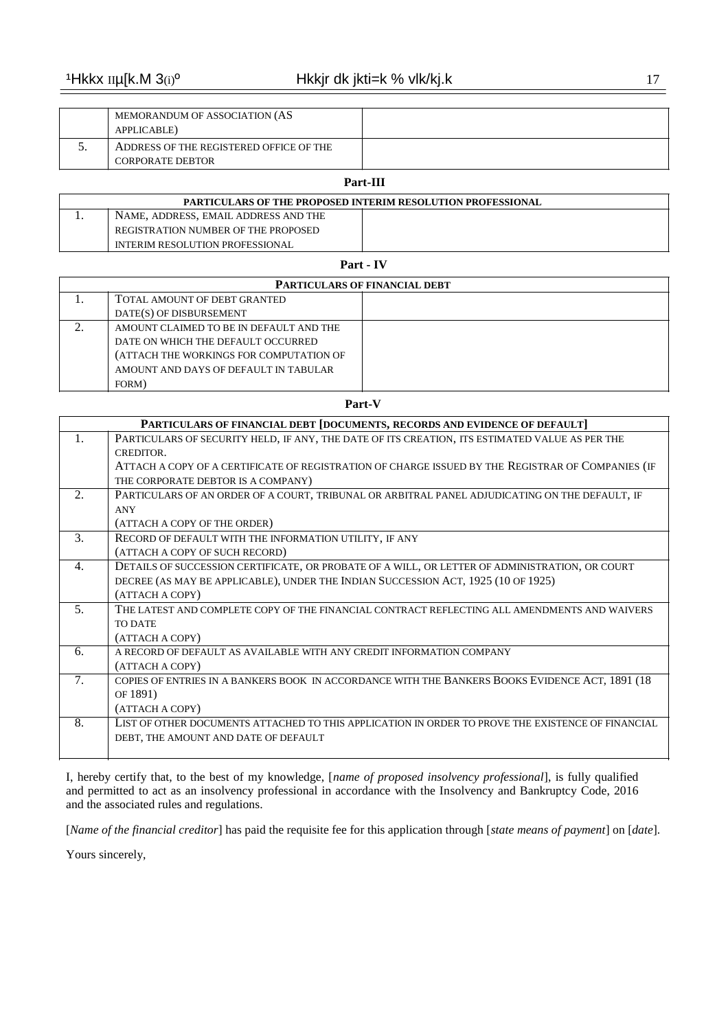| MEMORANDUM OF ASSOCIATION (AS<br>APPLICABLE)                       |  |
|--------------------------------------------------------------------|--|
| ADDRESS OF THE REGISTERED OFFICE OF THE<br><b>CORPORATE DEBTOR</b> |  |

# **Part-III**

| <b>PARTICULARS OF THE PROPOSED INTERIM RESOLUTION PROFESSIONAL</b> |                                        |  |
|--------------------------------------------------------------------|----------------------------------------|--|
|                                                                    | NAME, ADDRESS, EMAIL ADDRESS AND THE   |  |
|                                                                    | REGISTRATION NUMBER OF THE PROPOSED    |  |
|                                                                    | <b>INTERIM RESOLUTION PROFESSIONAL</b> |  |

## **Part - IV**

| <b>PARTICULARS OF FINANCIAL DEBT</b> |                                         |  |
|--------------------------------------|-----------------------------------------|--|
|                                      | TOTAL AMOUNT OF DEBT GRANTED            |  |
|                                      | DATE(S) OF DISBURSEMENT                 |  |
|                                      | AMOUNT CLAIMED TO BE IN DEFAULT AND THE |  |
|                                      | DATE ON WHICH THE DEFAULT OCCURRED      |  |
|                                      | (ATTACH THE WORKINGS FOR COMPUTATION OF |  |
|                                      | AMOUNT AND DAYS OF DEFAULT IN TABULAR   |  |
|                                      | FORM)                                   |  |

#### **Part-V**

|    | PARTICULARS OF FINANCIAL DEBT [DOCUMENTS, RECORDS AND EVIDENCE OF DEFAULT]                        |
|----|---------------------------------------------------------------------------------------------------|
| 1. | PARTICULARS OF SECURITY HELD, IF ANY, THE DATE OF ITS CREATION, ITS ESTIMATED VALUE AS PER THE    |
|    | CREDITOR.                                                                                         |
|    | ATTACH A COPY OF A CERTIFICATE OF REGISTRATION OF CHARGE ISSUED BY THE REGISTRAR OF COMPANIES (IF |
|    | THE CORPORATE DEBTOR IS A COMPANY)                                                                |
| 2. | PARTICULARS OF AN ORDER OF A COURT, TRIBUNAL OR ARBITRAL PANEL ADJUDICATING ON THE DEFAULT, IF    |
|    | <b>ANY</b>                                                                                        |
|    | (ATTACH A COPY OF THE ORDER)                                                                      |
| 3. | RECORD OF DEFAULT WITH THE INFORMATION UTILITY, IF ANY                                            |
|    | (ATTACH A COPY OF SUCH RECORD)                                                                    |
| 4. | DETAILS OF SUCCESSION CERTIFICATE, OR PROBATE OF A WILL, OR LETTER OF ADMINISTRATION, OR COURT    |
|    | DECREE (AS MAY BE APPLICABLE), UNDER THE INDIAN SUCCESSION ACT, 1925 (10 OF 1925)                 |
|    | (ATTACH A COPY)                                                                                   |
| 5. | THE LATEST AND COMPLETE COPY OF THE FINANCIAL CONTRACT REFLECTING ALL AMENDMENTS AND WAIVERS      |
|    | <b>TO DATE</b>                                                                                    |
|    | (ATTACH A COPY)                                                                                   |
| 6. | A RECORD OF DEFAULT AS AVAILABLE WITH ANY CREDIT INFORMATION COMPANY                              |
|    | (ATTACH A COPY)                                                                                   |
| 7. | COPIES OF ENTRIES IN A BANKERS BOOK IN ACCORDANCE WITH THE BANKERS BOOKS EVIDENCE ACT, 1891 (18   |
|    | OF 1891)                                                                                          |
|    | (ATTACH A COPY)                                                                                   |
| 8. | LIST OF OTHER DOCUMENTS ATTACHED TO THIS APPLICATION IN ORDER TO PROVE THE EXISTENCE OF FINANCIAL |
|    | DEBT. THE AMOUNT AND DATE OF DEFAULT                                                              |
|    |                                                                                                   |

I, hereby certify that, to the best of my knowledge, [*name of proposed insolvency professional*], is fully qualified and permitted to act as an insolvency professional in accordance with the Insolvency and Bankruptcy Code, 2016 and the associated rules and regulations.

[*Name of the financial creditor*] has paid the requisite fee for this application through [*state means of payment*] on [*date*].

Yours sincerely,